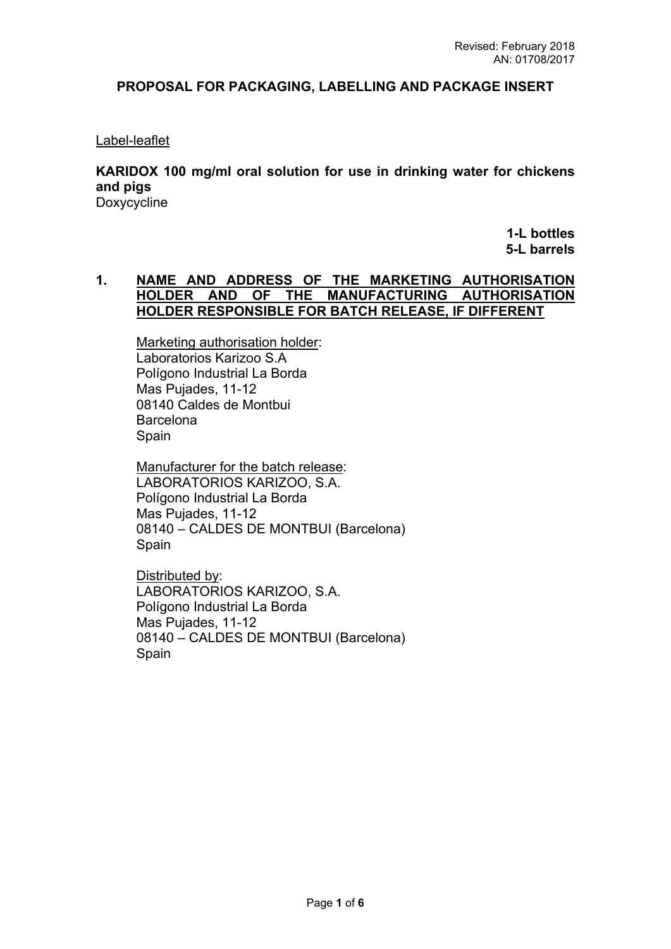# **PROPOSAL FOR PACKAGING, LABELLING AND PACKAGE INSERT**

## Label-leaflet

**KARIDOX 100 mg/ml oral solution for use in drinking water for chickens and pigs**  Doxycycline

> **1-L bottles 5-L barrels**

# **1. NAME AND ADDRESS OF THE MARKETING AUTHORISATION HOLDER AND OF THE MANUFACTURING AUTHORISATION HOLDER RESPONSIBLE FOR BATCH RELEASE, IF DIFFERENT**

Marketing authorisation holder: Laboratorios Karizoo S.A Polígono Industrial La Borda Mas Pujades, 11-12 08140 Caldes de Montbui **Barcelona** Spain

Manufacturer for the batch release: LABORATORIOS KARIZOO, S.A. Polígono Industrial La Borda Mas Pujades, 11-12 08140 – CALDES DE MONTBUI (Barcelona) Spain

Distributed by: LABORATORIOS KARIZOO, S.A. Polígono Industrial La Borda Mas Pujades, 11-12 08140 – CALDES DE MONTBUI (Barcelona) Spain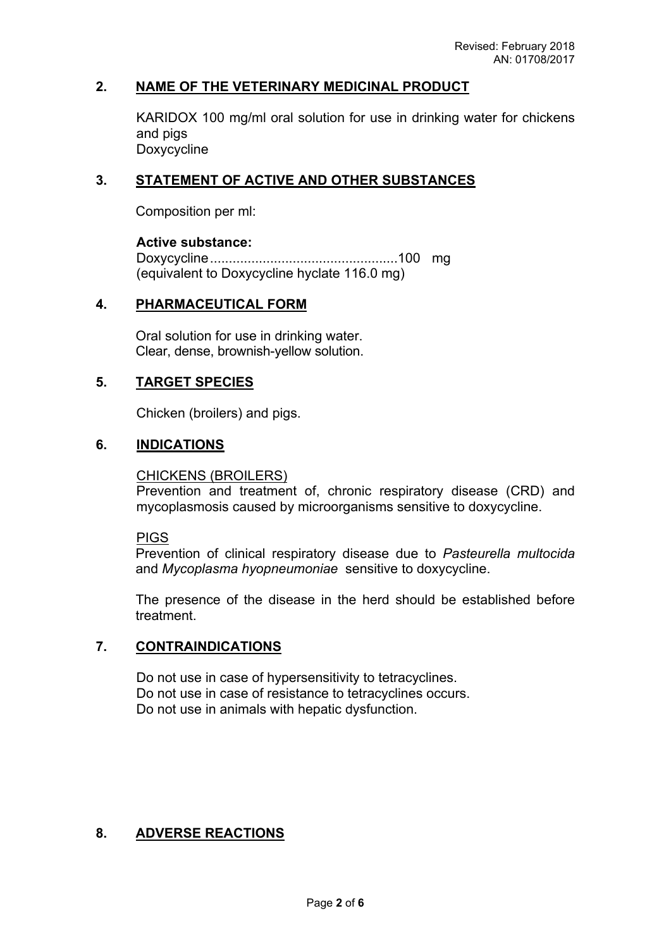# **2. NAME OF THE VETERINARY MEDICINAL PRODUCT**

KARIDOX 100 mg/ml oral solution for use in drinking water for chickens and pigs Doxycycline

# **3. STATEMENT OF ACTIVE AND OTHER SUBSTANCES**

Composition per ml:

### **Active substance:**

Doxycycline..................................................100 mg (equivalent to Doxycycline hyclate 116.0 mg)

## **4. PHARMACEUTICAL FORM**

Oral solution for use in drinking water. Clear, dense, brownish-yellow solution.

# **5. TARGET SPECIES**

Chicken (broilers) and pigs.

# **6. INDICATIONS**

CHICKENS (BROILERS)

Prevention and treatment of, chronic respiratory disease (CRD) and mycoplasmosis caused by microorganisms sensitive to doxycycline.

**PIGS** 

Prevention of clinical respiratory disease due to *Pasteurella multocida* and *Mycoplasma hyopneumoniae* sensitive to doxycycline.

The presence of the disease in the herd should be established before treatment.

# **7. CONTRAINDICATIONS**

Do not use in case of hypersensitivity to tetracyclines. Do not use in case of resistance to tetracyclines occurs. Do not use in animals with hepatic dysfunction.

# **8. ADVERSE REACTIONS**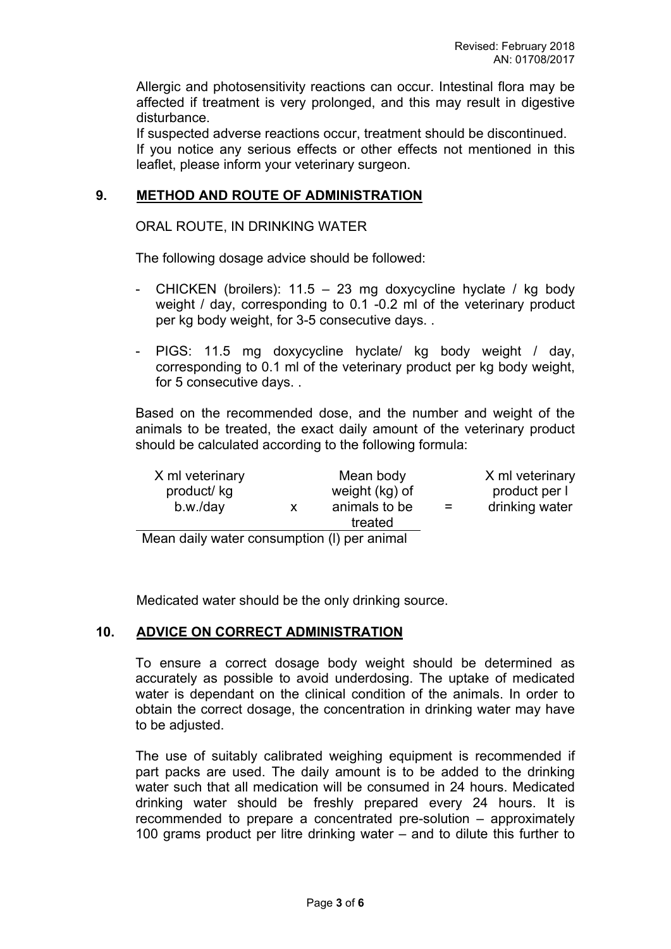Allergic and photosensitivity reactions can occur. Intestinal flora may be affected if treatment is very prolonged, and this may result in digestive disturbance.

If suspected adverse reactions occur, treatment should be discontinued. If you notice any serious effects or other effects not mentioned in this leaflet, please inform your veterinary surgeon.

## **9. METHOD AND ROUTE OF ADMINISTRATION**

#### ORAL ROUTE, IN DRINKING WATER

The following dosage advice should be followed:

- CHICKEN (broilers): 11.5 23 mg doxycycline hyclate / kg body weight / day, corresponding to 0.1 -0.2 ml of the veterinary product per kg body weight, for 3-5 consecutive days. .
- PIGS: 11.5 mg doxycycline hyclate/ kg body weight / day, corresponding to 0.1 ml of the veterinary product per kg body weight, for 5 consecutive days. .

Based on the recommended dose, and the number and weight of the animals to be treated, the exact daily amount of the veterinary product should be calculated according to the following formula:

| X ml veterinary<br>product/ kg<br>b.w./day  | X. | Mean body<br>weight (kg) of<br>animals to be<br>treated | $=$ | X ml veterinary<br>product per l<br>drinking water |
|---------------------------------------------|----|---------------------------------------------------------|-----|----------------------------------------------------|
| Mean daily water consumption (I) per animal |    |                                                         |     |                                                    |

Medicated water should be the only drinking source.

#### **10. ADVICE ON CORRECT ADMINISTRATION**

To ensure a correct dosage body weight should be determined as accurately as possible to avoid underdosing. The uptake of medicated water is dependant on the clinical condition of the animals. In order to obtain the correct dosage, the concentration in drinking water may have to be adjusted.

The use of suitably calibrated weighing equipment is recommended if part packs are used. The daily amount is to be added to the drinking water such that all medication will be consumed in 24 hours. Medicated drinking water should be freshly prepared every 24 hours. It is recommended to prepare a concentrated pre-solution – approximately 100 grams product per litre drinking water – and to dilute this further to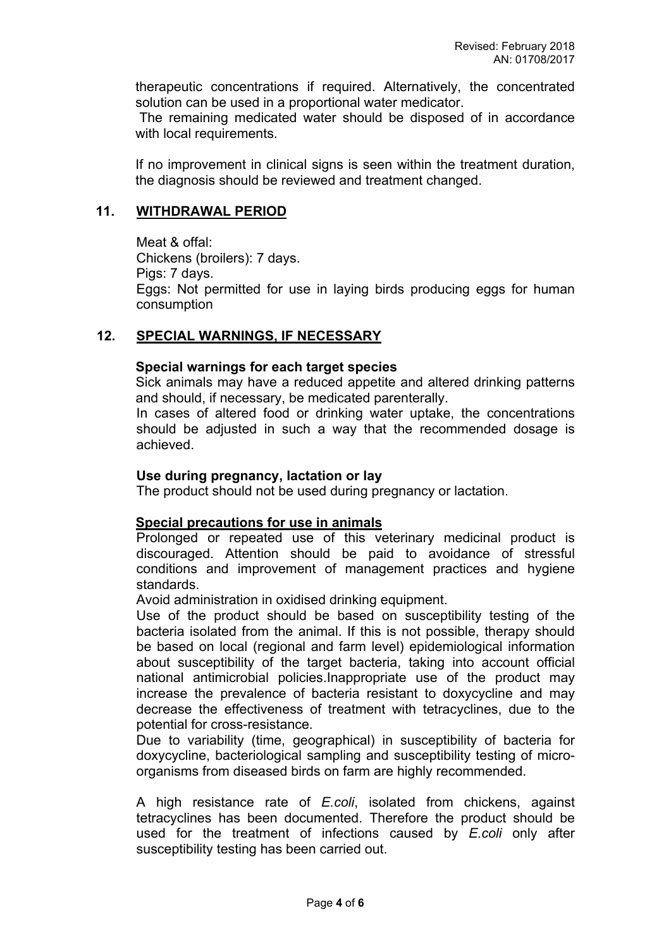therapeutic concentrations if required. Alternatively, the concentrated solution can be used in a proportional water medicator.

 The remaining medicated water should be disposed of in accordance with local requirements.

If no improvement in clinical signs is seen within the treatment duration, the diagnosis should be reviewed and treatment changed.

## **11. WITHDRAWAL PERIOD**

Meat & offal: Chickens (broilers): 7 days. Pigs: 7 days. Eggs: Not permitted for use in laying birds producing eggs for human consumption

## **12. SPECIAL WARNINGS, IF NECESSARY**

## **Special warnings for each target species**

Sick animals may have a reduced appetite and altered drinking patterns and should, if necessary, be medicated parenterally.

In cases of altered food or drinking water uptake, the concentrations should be adjusted in such a way that the recommended dosage is achieved.

## **Use during pregnancy, lactation or lay**

The product should not be used during pregnancy or lactation.

#### **Special precautions for use in animals**

Prolonged or repeated use of this veterinary medicinal product is discouraged. Attention should be paid to avoidance of stressful conditions and improvement of management practices and hygiene standards.

Avoid administration in oxidised drinking equipment.

Use of the product should be based on susceptibility testing of the bacteria isolated from the animal. If this is not possible, therapy should be based on local (regional and farm level) epidemiological information about susceptibility of the target bacteria, taking into account official national antimicrobial policies.Inappropriate use of the product may increase the prevalence of bacteria resistant to doxycycline and may decrease the effectiveness of treatment with tetracyclines, due to the potential for cross-resistance.

Due to variability (time, geographical) in susceptibility of bacteria for doxycycline, bacteriological sampling and susceptibility testing of microorganisms from diseased birds on farm are highly recommended.

A high resistance rate of *E.coli*, isolated from chickens, against tetracyclines has been documented. Therefore the product should be used for the treatment of infections caused by *E.coli* only after susceptibility testing has been carried out.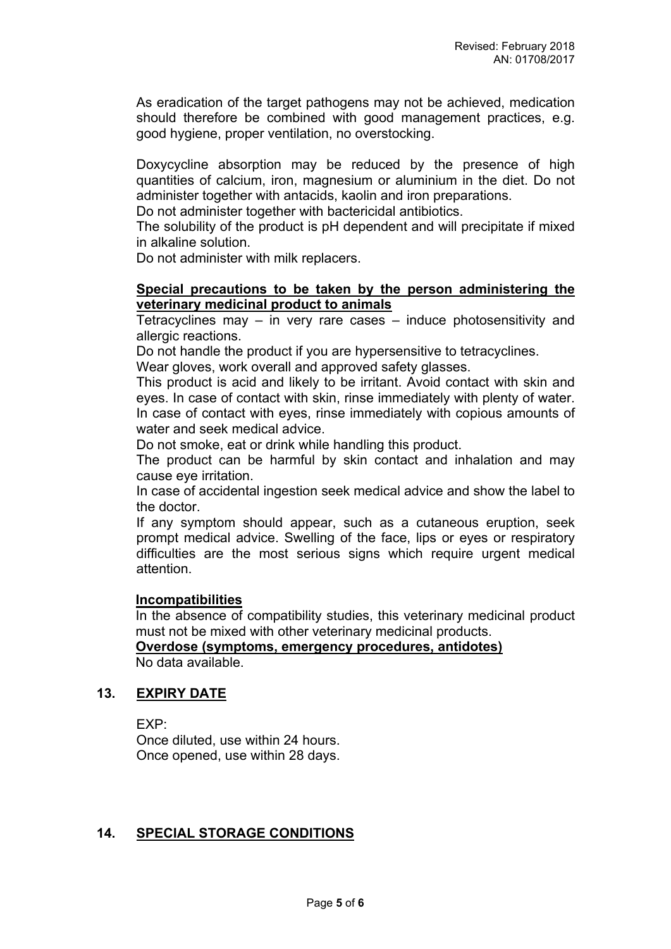As eradication of the target pathogens may not be achieved, medication should therefore be combined with good management practices, e.g. good hygiene, proper ventilation, no overstocking.

Doxycycline absorption may be reduced by the presence of high quantities of calcium, iron, magnesium or aluminium in the diet. Do not administer together with antacids, kaolin and iron preparations.

Do not administer together with bactericidal antibiotics.

The solubility of the product is pH dependent and will precipitate if mixed in alkaline solution.

Do not administer with milk replacers.

### **Special precautions to be taken by the person administering the veterinary medicinal product to animals**

Tetracyclines may  $-$  in very rare cases  $-$  induce photosensitivity and allergic reactions.

Do not handle the product if you are hypersensitive to tetracyclines.

Wear gloves, work overall and approved safety glasses.

This product is acid and likely to be irritant. Avoid contact with skin and eyes. In case of contact with skin, rinse immediately with plenty of water. In case of contact with eyes, rinse immediately with copious amounts of water and seek medical advice.

Do not smoke, eat or drink while handling this product.

The product can be harmful by skin contact and inhalation and may cause eye irritation.

In case of accidental ingestion seek medical advice and show the label to the doctor.

If any symptom should appear, such as a cutaneous eruption, seek prompt medical advice. Swelling of the face, lips or eyes or respiratory difficulties are the most serious signs which require urgent medical attention.

#### **Incompatibilities**

In the absence of compatibility studies, this veterinary medicinal product must not be mixed with other veterinary medicinal products. **Overdose (symptoms, emergency procedures, antidotes)**

No data available.

#### **13. EXPIRY DATE**

EXP:

Once diluted, use within 24 hours. Once opened, use within 28 days.

### **14. SPECIAL STORAGE CONDITIONS**